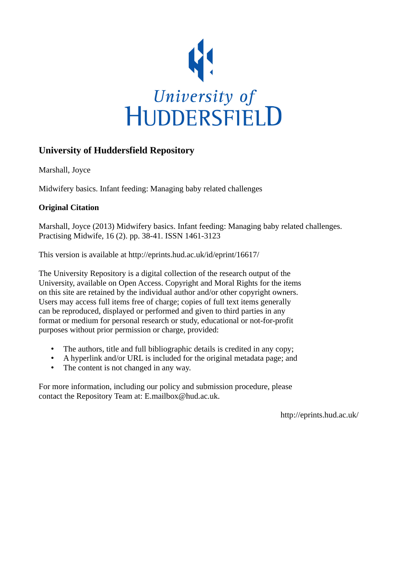

# **University of Huddersfield Repository**

Marshall, Joyce

Midwifery basics. Infant feeding: Managing baby related challenges

# **Original Citation**

Marshall, Joyce (2013) Midwifery basics. Infant feeding: Managing baby related challenges. Practising Midwife, 16 (2). pp. 38-41. ISSN 1461-3123

This version is available at http://eprints.hud.ac.uk/id/eprint/16617/

The University Repository is a digital collection of the research output of the University, available on Open Access. Copyright and Moral Rights for the items on this site are retained by the individual author and/or other copyright owners. Users may access full items free of charge; copies of full text items generally can be reproduced, displayed or performed and given to third parties in any format or medium for personal research or study, educational or not-for-profit purposes without prior permission or charge, provided:

- The authors, title and full bibliographic details is credited in any copy;
- A hyperlink and/or URL is included for the original metadata page; and
- The content is not changed in any way.

For more information, including our policy and submission procedure, please contact the Repository Team at: E.mailbox@hud.ac.uk.

http://eprints.hud.ac.uk/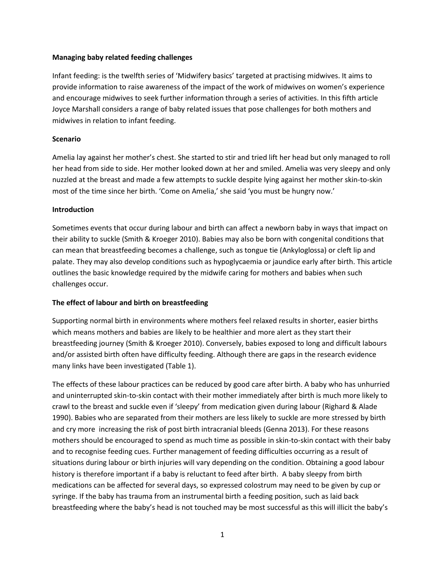### **Managing baby related feeding challenges**

Infant feeding: is the twelfth series of 'Midwifery basics' targeted at practising midwives. It aims to provide information to raise awareness of the impact of the work of midwives on women's experience and encourage midwives to seek further information through a series of activities. In this fifth article Joyce Marshall considers a range of baby related issues that pose challenges for both mothers and midwives in relation to infant feeding.

### **Scenario**

Amelia lay against her mother's chest. She started to stir and tried lift her head but only managed to roll her head from side to side. Her mother looked down at her and smiled. Amelia was very sleepy and only nuzzled at the breast and made a few attempts to suckle despite lying against her mother skin-to-skin most of the time since her birth. 'Come on Amelia,' she said 'you must be hungry now.'

### **Introduction**

Sometimes events that occur during labour and birth can affect a newborn baby in ways that impact on their ability to suckle [\(Smith & Kroeger 2010\)](#page-5-0). Babies may also be born with congenital conditions that can mean that breastfeeding becomes a challenge, such as tongue tie (Ankyloglossa) or cleft lip and palate. They may also develop conditions such as hypoglycaemia or jaundice early after birth. This article outlines the basic knowledge required by the midwife caring for mothers and babies when such challenges occur.

### **The effect of labour and birth on breastfeeding**

Supporting normal birth in environments where mothers feel relaxed results in shorter, easier births which means mothers and babies are likely to be healthier and more alert as they start their breastfeeding journey [\(Smith & Kroeger 2010\)](#page-5-0). Conversely, babies exposed to long and difficult labours and/or assisted birth often have difficulty feeding. Although there are gaps in the research evidence many links have been investigated (Table 1).

The effects of these labour practices can be reduced by good care after birth. A baby who has unhurried and uninterrupted skin-to-skin contact with their mother immediately after birth is much more likely to crawl to the breast and suckle even if 'sleepy' from medication given during labour [\(Righard & Alade](#page-5-1)  [1990\)](#page-5-1). Babies who are separated from their mothers are less likely to suckle are more stressed by birth and cry more increasing the risk of post birth intracranial bleeds [\(Genna 2013\)](#page-4-0). For these reasons mothers should be encouraged to spend as much time as possible in skin-to-skin contact with their baby and to recognise feeding cues. Further management of feeding difficulties occurring as a result of situations during labour or birth injuries will vary depending on the condition. Obtaining a good labour history is therefore important if a baby is reluctant to feed after birth. A baby sleepy from birth medications can be affected for several days, so expressed colostrum may need to be given by cup or syringe. If the baby has trauma from an instrumental birth a feeding position, such as laid back breastfeeding where the baby's head is not touched may be most successful as this will illicit the baby's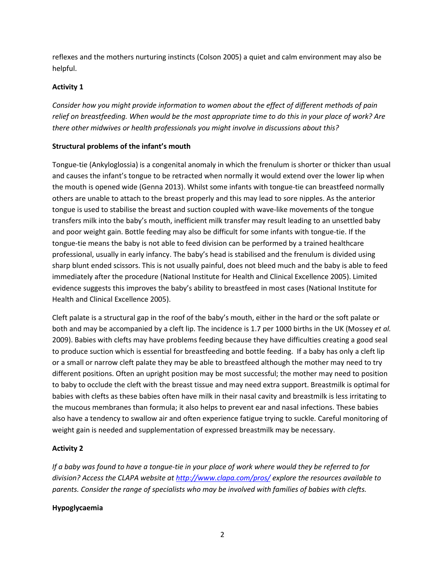reflexes and the mothers nurturing instincts [\(Colson 2005\)](#page-4-1) a quiet and calm environment may also be helpful.

## **Activity 1**

*Consider how you might provide information to women about the effect of different methods of pain relief on breastfeeding. When would be the most appropriate time to do this in your place of work? Are there other midwives or health professionals you might involve in discussions about this?*

## **Structural problems of the infant's mouth**

Tongue-tie (Ankyloglossia) is a congenital anomaly in which the frenulum is shorter or thicker than usual and causes the infant's tongue to be retracted when normally it would extend over the lower lip when the mouth is opened wide [\(Genna 2013\)](#page-4-0). Whilst some infants with tongue-tie can breastfeed normally others are unable to attach to the breast properly and this may lead to sore nipples. As the anterior tongue is used to stabilise the breast and suction coupled with wave-like movements of the tongue transfers milk into the baby's mouth, inefficient milk transfer may result leading to an unsettled baby and poor weight gain. Bottle feeding may also be difficult for some infants with tongue-tie. If the tongue-tie means the baby is not able to feed division can be performed by a trained healthcare professional, usually in early infancy. The baby's head is stabilised and the frenulum is divided using sharp blunt ended scissors. This is not usually painful, does not bleed much and the baby is able to feed immediately after the procedure [\(National Institute for Health and Clinical Excellence 2005\)](#page-5-2). Limited evidence suggests this improves the baby's ability to breastfeed in most cases [\(National Institute for](#page-5-2)  [Health and Clinical Excellence 2005\)](#page-5-2).

Cleft palate is a structural gap in the roof of the baby's mouth, either in the hard or the soft palate or both and may be accompanied by a cleft lip. The incidence is 1.7 per 1000 births in the UK [\(Mossey](#page-5-3) *et al.* [2009\)](#page-5-3). Babies with clefts may have problems feeding because they have difficulties creating a good seal to produce suction which is essential for breastfeeding and bottle feeding. If a baby has only a cleft lip or a small or narrow cleft palate they may be able to breastfeed although the mother may need to try different positions. Often an upright position may be most successful; the mother may need to position to baby to occlude the cleft with the breast tissue and may need extra support. Breastmilk is optimal for babies with clefts as these babies often have milk in their nasal cavity and breastmilk is less irritating to the mucous membranes than formula; it also helps to prevent ear and nasal infections. These babies also have a tendency to swallow air and often experience fatigue trying to suckle. Careful monitoring of weight gain is needed and supplementation of expressed breastmilk may be necessary.

# **Activity 2**

*If a baby was found to have a tongue-tie in your place of work where would they be referred to for division? Access the CLAPA website at<http://www.clapa.com/pros/> explore the resources available to parents. Consider the range of specialists who may be involved with families of babies with clefts.*

### **Hypoglycaemia**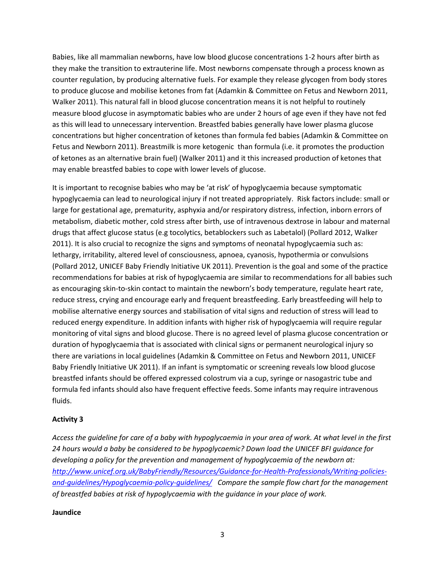Babies, like all mammalian newborns, have low blood glucose concentrations 1-2 hours after birth as they make the transition to extrauterine life. Most newborns compensate through a process known as counter regulation, by producing alternative fuels. For example they release glycogen from body stores to produce glucose and mobilise ketones from fat [\(Adamkin & Committee on Fetus and Newborn 2011,](#page-4-2) [Walker 2011\)](#page-5-4). This natural fall in blood glucose concentration means it is not helpful to routinely measure blood glucose in asymptomatic babies who are under 2 hours of age even if they have not fed as this will lead to unnecessary intervention. Breastfed babies generally have lower plasma glucose concentrations but higher concentration of ketones than formula fed babies [\(Adamkin & Committee on](#page-4-2)  [Fetus and Newborn 2011\)](#page-4-2). Breastmilk is more ketogenic than formula (i.e. it promotes the production of ketones as an alternative brain fuel) [\(Walker 2011\)](#page-5-4) and it this increased production of ketones that may enable breastfed babies to cope with lower levels of glucose.

It is important to recognise babies who may be 'at risk' of hypoglycaemia because symptomatic hypoglycaemia can lead to neurological injury if not treated appropriately. Risk factors include: small or large for gestational age, prematurity, asphyxia and/or respiratory distress, infection, inborn errors of metabolism, diabetic mother, cold stress after birth, use of intravenous dextrose in labour and maternal drugs that affect glucose status (e.g tocolytics, betablockers such as Labetalol) [\(Pollard 2012,](#page-5-5) [Walker](#page-5-4)  [2011\)](#page-5-4). It is also crucial to recognize the signs and symptoms of neonatal hypoglycaemia such as: lethargy, irritability, altered level of consciousness, apnoea, cyanosis, hypothermia or convulsions [\(Pollard 2012,](#page-5-5) [UNICEF Baby Friendly Initiative UK 2011\)](#page-5-6). Prevention is the goal and some of the practice recommendations for babies at risk of hypoglycaemia are similar to recommendations for all babies such as encouraging skin-to-skin contact to maintain the newborn's body temperature, regulate heart rate, reduce stress, crying and encourage early and frequent breastfeeding. Early breastfeeding will help to mobilise alternative energy sources and stabilisation of vital signs and reduction of stress will lead to reduced energy expenditure. In addition infants with higher risk of hypoglycaemia will require regular monitoring of vital signs and blood glucose. There is no agreed level of plasma glucose concentration or duration of hypoglycaemia that is associated with clinical signs or permanent neurological injury so there are variations in local guidelines [\(Adamkin & Committee on Fetus and Newborn 2011,](#page-4-2) [UNICEF](#page-5-6)  [Baby Friendly Initiative UK 2011\)](#page-5-6). If an infant is symptomatic or screening reveals low blood glucose breastfed infants should be offered expressed colostrum via a cup, syringe or nasogastric tube and formula fed infants should also have frequent effective feeds. Some infants may require intravenous fluids.

### **Activity 3**

*Access the guideline for care of a baby with hypoglycaemia in your area of work. At what level in the first 24 hours would a baby be considered to be hypoglycaemic? Down load the UNICEF BFI guidance for developing a policy for the prevention and management of hypoglycaemia of the newborn at: [http://www.unicef.org.uk/BabyFriendly/Resources/Guidance-for-Health-Professionals/Writing-policies](http://www.unicef.org.uk/BabyFriendly/Resources/Guidance-for-Health-Professionals/Writing-policies-and-guidelines/Hypoglycaemia-policy-guidelines/)[and-guidelines/Hypoglycaemia-policy-guidelines/](http://www.unicef.org.uk/BabyFriendly/Resources/Guidance-for-Health-Professionals/Writing-policies-and-guidelines/Hypoglycaemia-policy-guidelines/) Compare the sample flow chart for the management of breastfed babies at risk of hypoglycaemia with the guidance in your place of work.*

#### **Jaundice**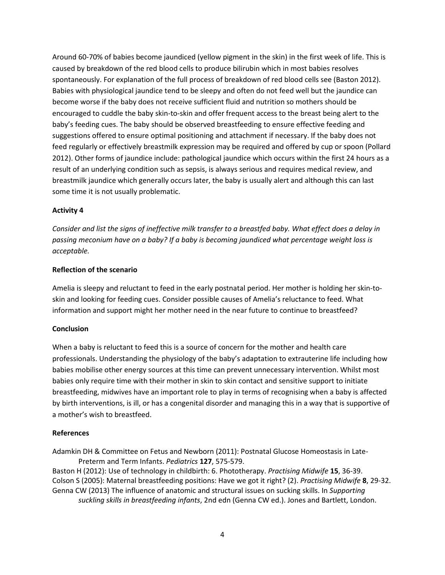Around 60-70% of babies become jaundiced (yellow pigment in the skin) in the first week of life. This is caused by breakdown of the red blood cells to produce bilirubin which in most babies resolves spontaneously. For explanation of the full process of breakdown of red blood cells see [\(Baston 2012\)](#page-4-3). Babies with physiological jaundice tend to be sleepy and often do not feed well but the jaundice can become worse if the baby does not receive sufficient fluid and nutrition so mothers should be encouraged to cuddle the baby skin-to-skin and offer frequent access to the breast being alert to the baby's feeding cues. The baby should be observed breastfeeding to ensure effective feeding and suggestions offered to ensure optimal positioning and attachment if necessary. If the baby does not feed regularly or effectively breastmilk expression may be required and offered by cup or spoon [\(Pollard](#page-5-5)  [2012\)](#page-5-5). Other forms of jaundice include: pathological jaundice which occurs within the first 24 hours as a result of an underlying condition such as sepsis, is always serious and requires medical review, and breastmilk jaundice which generally occurs later, the baby is usually alert and although this can last some time it is not usually problematic.

### **Activity 4**

*Consider and list the signs of ineffective milk transfer to a breastfed baby. What effect does a delay in passing meconium have on a baby? If a baby is becoming jaundiced what percentage weight loss is acceptable.*

### **Reflection of the scenario**

Amelia is sleepy and reluctant to feed in the early postnatal period. Her mother is holding her skin-toskin and looking for feeding cues. Consider possible causes of Amelia's reluctance to feed. What information and support might her mother need in the near future to continue to breastfeed?

#### **Conclusion**

When a baby is reluctant to feed this is a source of concern for the mother and health care professionals. Understanding the physiology of the baby's adaptation to extrauterine life including how babies mobilise other energy sources at this time can prevent unnecessary intervention. Whilst most babies only require time with their mother in skin to skin contact and sensitive support to initiate breastfeeding, midwives have an important role to play in terms of recognising when a baby is affected by birth interventions, is ill, or has a congenital disorder and managing this in a way that is supportive of a mother's wish to breastfeed.

#### **References**

<span id="page-4-3"></span><span id="page-4-2"></span><span id="page-4-1"></span>Adamkin DH & Committee on Fetus and Newborn (2011): Postnatal Glucose Homeostasis in Late-Preterm and Term Infants. *Pediatrics* **127**, 575-579. Baston H (2012): Use of technology in childbirth: 6. Phototherapy. *Practising Midwife* **15**, 36-39. Colson S (2005): Maternal breastfeeding positions: Have we got it right? (2). *Practising Midwife* **8**, 29-32. Genna CW (2013) The influence of anatomic and structural issues on sucking skills. In *Supporting* 

<span id="page-4-0"></span>*suckling skills in breastfeeding infants*, 2nd edn (Genna CW ed.). Jones and Bartlett, London.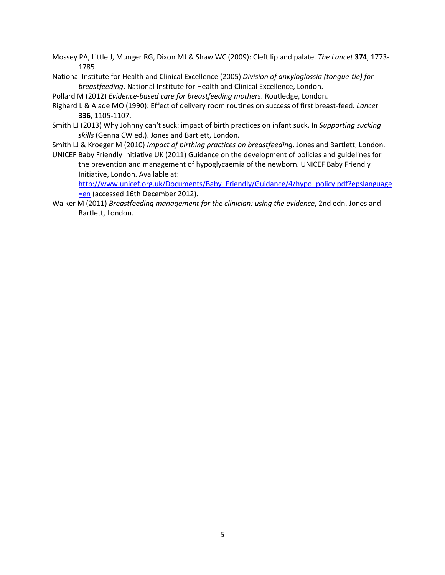- <span id="page-5-3"></span>Mossey PA, Little J, Munger RG, Dixon MJ & Shaw WC (2009): Cleft lip and palate. *The Lancet* **374**, 1773- 1785.
- <span id="page-5-2"></span>National Institute for Health and Clinical Excellence (2005) *Division of ankyloglossia (tongue-tie) for breastfeeding*. National Institute for Health and Clinical Excellence, London.

<span id="page-5-5"></span>Pollard M (2012) *Evidence-based care for breastfeeding mothers*. Routledge, London.

- <span id="page-5-1"></span>Righard L & Alade MO (1990): Effect of delivery room routines on success of first breast-feed. *Lancet* **336**, 1105-1107.
- <span id="page-5-7"></span>Smith LJ (2013) Why Johnny can't suck: impact of birth practices on infant suck. In *Supporting sucking skills* (Genna CW ed.). Jones and Bartlett, London.
- <span id="page-5-0"></span>Smith LJ & Kroeger M (2010) *Impact of birthing practices on breastfeeding*. Jones and Bartlett, London.
- <span id="page-5-6"></span>UNICEF Baby Friendly Initiative UK (2011) Guidance on the development of policies and guidelines for the prevention and management of hypoglycaemia of the newborn. UNICEF Baby Friendly Initiative, London. Available at:

[http://www.unicef.org.uk/Documents/Baby\\_Friendly/Guidance/4/hypo\\_policy.pdf?epslanguage](http://www.unicef.org.uk/Documents/Baby_Friendly/Guidance/4/hypo_policy.pdf?epslanguage=en) [=en](http://www.unicef.org.uk/Documents/Baby_Friendly/Guidance/4/hypo_policy.pdf?epslanguage=en) (accessed 16th December 2012).

<span id="page-5-4"></span>Walker M (2011) *Breastfeeding management for the clinician: using the evidence*, 2nd edn. Jones and Bartlett, London.